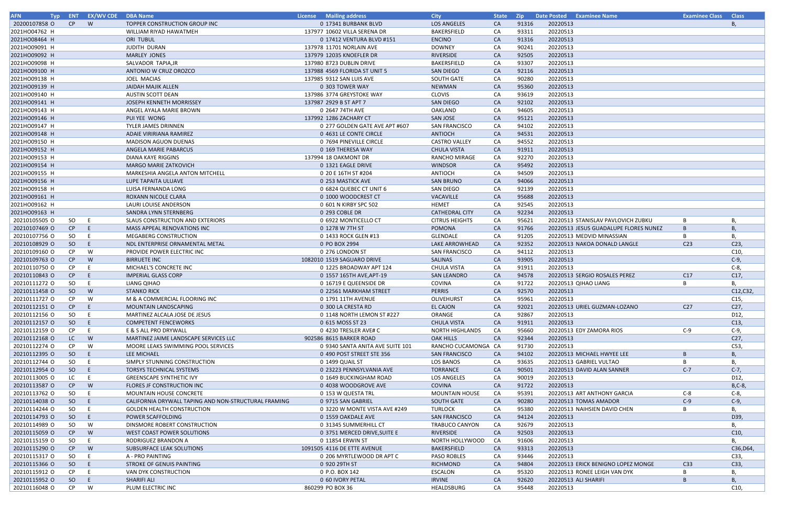| <b>AFN</b><br>Tvp : | <b>ENT</b> | <b>EX/WV CDE</b> | <b>DBA Name</b>                                      | License Mailing address          | <b>City</b>            | <b>State</b> | <b>Zip</b> | Date Posted<br><b>Examinee Name</b>   | <b>Examinee Class</b> | <b>Class</b>    |
|---------------------|------------|------------------|------------------------------------------------------|----------------------------------|------------------------|--------------|------------|---------------------------------------|-----------------------|-----------------|
| 20200107858 O       | CP         | W                | TOPPER CONSTRUCTION GROUP INC                        | 0 17341 BURBANK BLVD             | <b>LOS ANGELES</b>     | CA           | 91316      | 20220513                              |                       | В.              |
| 2021HO04762 H       |            |                  | WILLIAM RIYAD HAWATMEH                               | 137977 10602 VILLA SERENA DR     | <b>BAKERSFIELD</b>     | CA           | 93311      | 20220513                              |                       |                 |
| 2021HO08464 H       |            |                  | ORI TUBUL                                            | 0 17412 VENTURA BLVD #151        | <b>ENCINO</b>          | CA           | 91316      | 20220513                              |                       |                 |
| 2021HO09091 H       |            |                  | <b>JUDITH DURAN</b>                                  | 137978 11701 NORLAIN AVE         | <b>DOWNEY</b>          | CA           | 90241      | 20220513                              |                       |                 |
| 2021HO09092 H       |            |                  | <b>MARLEY JONES</b>                                  | 137979 12035 KNOEFLER DR         | RIVERSIDE              | <b>CA</b>    | 92505      | 20220513                              |                       |                 |
| 2021HO09098 H       |            |                  | SALVADOR TAPIA, JR                                   | 137980 8723 DUBLIN DRIVE         | BAKERSFIELD            | CA           | 93307      | 20220513                              |                       |                 |
| 2021HO09100 H       |            |                  | ANTONIO W CRUZ OROZCO                                | 137988 4569 FLORIDA ST UNIT 5    | <b>SAN DIEGO</b>       | CA           | 92116      | 20220513                              |                       |                 |
| 2021HO09138 H       |            |                  | JOEL MACIAS                                          | 137985 9312 SAN LUIS AVE         | <b>SOUTH GATE</b>      | CA           | 90280      | 20220513                              |                       |                 |
| 2021HO09139 H       |            |                  | JAIDAH MAJIK ALLEN                                   | 0 303 TOWER WAY                  | <b>NEWMAN</b>          | CA           | 95360      | 20220513                              |                       |                 |
| 2021HO09140 H       |            |                  | AUSTIN SCOTT DEAN                                    | 137986 3774 GREYSTOKE WAY        | <b>CLOVIS</b>          | CA           | 93619      | 20220513                              |                       |                 |
| 2021HO09141 H       |            |                  | JOSEPH KENNETH MORRISSEY                             | 137987 2929 B ST APT 7           | <b>SAN DIEGO</b>       | CA           | 92102      | 20220513                              |                       |                 |
| 2021HO09143 H       |            |                  | ANGEL AYALA MARIE BROWN                              | 0 2647 74TH AVE                  | OAKLAND                | CA           | 94605      | 20220513                              |                       |                 |
| 2021HO09146 H       |            |                  | PUI YEE WONG                                         | 137992 1286 ZACHARY CT           | <b>SAN JOSE</b>        | CA           | 95121      | 20220513                              |                       |                 |
| 2021HO09147 H       |            |                  | TYLER JAMES DRINNEN                                  | 0 277 GOLDEN GATE AVE APT #607   | <b>SAN FRANCISCO</b>   | CA           | 94102      | 20220513                              |                       |                 |
| 2021HO09148 H       |            |                  | ADAIE VIRIRIANA RAMIREZ                              | 0 4631 LE CONTE CIRCLE           | <b>ANTIOCH</b>         | CA           | 94531      | 20220513                              |                       |                 |
| 2021HO09150 H       |            |                  | <b>MADISON AGUON DUENAS</b>                          | 0 7694 PINEVILLE CIRCLE          | <b>CASTRO VALLEY</b>   | CA           | 94552      | 20220513                              |                       |                 |
| 2021HO09152 H       |            |                  | ANGELA MARIE PABARCUS                                | 0 169 THERESA WAY                | <b>CHULA VISTA</b>     | CA           | 91911      | 20220513                              |                       |                 |
| 2021HO09153 H       |            |                  | DIANA KAYE RIGGINS                                   | 137994 18 OAKMONT DR             | <b>RANCHO MIRAGE</b>   | CA           | 92270      | 20220513                              |                       |                 |
| 2021HO09154 H       |            |                  | <b>MARGO MARIE ZATKOVICH</b>                         | 0 1321 EAGLE DRIVE               | <b>WINDSOR</b>         | CA           | 95492      | 20220513                              |                       |                 |
| 2021HO09155 H       |            |                  | MARKESHIA ANGELA ANTON MITCHELL                      | 0 20 E 16TH ST #204              | <b>ANTIOCH</b>         | CA           | 94509      | 20220513                              |                       |                 |
| 2021HO09156 H       |            |                  | LUPE TAPAITA ULUAVE                                  | 0 253 MASTICK AVE                | <b>SAN BRUNO</b>       | CA           | 94066      | 20220513                              |                       |                 |
| 2021HO09158 H       |            |                  | LUISA FERNANDA LONG                                  | 0 6824 QUEBEC CT UNIT 6          | SAN DIEGO              | CA           | 92139      | 20220513                              |                       |                 |
| 2021HO09161 H       |            |                  | ROXANN NICOLE CLARA                                  | 0 1000 WOODCREST CT              | VACAVILLE              | CA           | 95688      | 20220513                              |                       |                 |
| 2021HO09162 H       |            |                  | LAURI LOUISE ANDERSON                                | 0 601 N KIRBY SPC 502            | <b>HEMET</b>           | CA           | 92545      | 20220513                              |                       |                 |
| 2021HO09163 H       |            |                  | SANDRA LYNN STERNBERG                                | 0 293 COBLE DR                   | <b>CATHEDRAL CITY</b>  | CA           | 92234      | 20220513                              |                       |                 |
| 20210105505 O       | SO         | E                | SLAUS CONSTRUCTION AND EXTERIORS                     | 0 6922 MONTICELLO CT             | <b>CITRUS HEIGHTS</b>  | CA           | 95621      | 20220513 STANISLAV PAVLOVICH ZUBKU    | B                     | В,              |
| 20210107469 O       | CP         | E                | MASS APPEAL RENOVATIONS INC                          | 0 1278 W 7TH ST                  | <b>POMONA</b>          | CA           | 91766      | 20220513 JESUS GUADALUPE FLORES NUNEZ | B                     | B               |
| 20210107756 O       | SO         |                  | MEGABERG CONSTRUCTION                                | 0 1433 ROCK GLEN #13             | GLENDALE               | CA           | 91205      | 20220513 MEDVID MINASSIAN             |                       | В,              |
| 20210108929 O       | SO         | - E              | NDL ENTERPRISE ORNAMENTAL METAL                      | 0 PO BOX 2994                    | <b>LAKE ARROWHEAD</b>  | CA           | 92352      | 20220513 NAKOA DONALD LANGLE          | C <sub>23</sub>       | C <sub>23</sub> |
| 20210109160 O       | <b>CP</b>  | W                | PROVIDE POWER ELECTRIC INC                           | 0 276 LONDON ST                  | <b>SAN FRANCISCO</b>   | CA           | 94112      | 20220513                              |                       | C10,            |
| 20210109763 O       | CP         | W                | <b>BIRRUETE INC</b>                                  | 1082010 1519 SAGUARO DRIVE       | SALINAS                | CA           | 93905      | 20220513                              |                       | $C-9$ ,         |
| 20210110750 O       | <b>CP</b>  | -F               | MICHAEL'S CONCRETE INC                               | 0 1225 BROADWAY APT 124          | <b>CHULA VISTA</b>     | CA           | 91911      | 20220513                              |                       | $C-8$ ,         |
| 20210110843 O       | CP         | E                | <b>IMPERIAL GLASS CORP</b>                           | 0 1557 165TH AVE, APT-19         | <b>SAN LEANDRO</b>     | CA           | 94578      | 20220513 SERGIO ROSALES PEREZ         | C17                   | C17,            |
| 20210111272 0       | SO         | -F               | LIANG QIHAO                                          | 0 16719 E QUEENSIDE DR           | <b>COVINA</b>          | CA           | 91722      | 20220513 QIHAO LIANG                  | B                     | <b>B.</b>       |
| 20210111458 O       | SO         | <b>W</b>         | <b>STANKO RICK</b>                                   | 0 22561 MARKHAM STREET           | <b>PERRIS</b>          | CA           | 92570      | 20220513                              |                       | C12, C32,       |
| 20210111727 0       | CP.        | W                | M & A COMMERCIAL FLOORING INC                        | 0 1791 11TH AVENUE               | OLIVEHURST             | CA           | 95961      | 20220513                              |                       | C15,            |
| 20210112151 0       | CP         | E                | <b>MOUNTAIN LANDSCAPING</b>                          | 0 300 LA CRESTA RD               | EL CAJON               | CA           | 92021      | 20220513 URIEL GUZMAN-LOZANO          | C27                   | C27,            |
| 20210112156 O       | SO         | E                | MARTINEZ ALCALA JOSE DE JESUS                        | 0 1148 NORTH LEMON ST #227       | ORANGE                 | CA           | 92867      | 20220513                              |                       | D12,            |
| 20210112157 O       | SO         | E                | <b>COMPETENT FENCEWORKS</b>                          | 0 615 MOSS ST 23                 | <b>CHULA VISTA</b>     | CA           | 91911      | 20220513                              |                       | C13,            |
| 20210112159 O       | CP         | -E               | E & S ALL PRO DRYWALL                                | 0 4230 TRESLER AVE# C            | <b>NORTH HIGHLANDS</b> | CA           | 95660      | 20220513 EDY ZAMORA RIOS              | $C-9$                 | $C-9,$          |
| 20210112168 O       | LC.        | W                | MARTINEZ JAIME LANDSCAPE SERVICES LLC                | 902586 8615 BARKER ROAD          | OAK HILLS              | CA           | 92344      | 20220513                              |                       | C27,            |
| 20210112274 0       | CP.        | W                | MOORE LEAKS SWIMMING POOL SERVICES                   | 0 9340 SANTA ANITA AVE SUITE 101 | RANCHO CUCAMONGA CA    |              | 91730      | 20220513                              |                       | C53,            |
| 20210112395 O       | SO         | -E.              | LEE MICHAEL                                          | 0 490 POST STREET STE 356        | SAN FRANCISCO          | CA           | 94102      | 20220513 MICHAEL HWYEE LEE            | B                     |                 |
| 20210112744 O       | SO         | E                |                                                      | 0 1499 QUAIL ST                  | <b>LOS BANOS</b>       |              | 93635      | 20220513 GABRIEL VULTAO               |                       | В,<br>В,        |
|                     |            |                  | SIMPLY STUNNING CONSTRUCTION                         |                                  |                        | CA           |            |                                       |                       |                 |
| 20210112954 O       | SO         | - E              | <b>TORSYS TECHNICAL SYSTEMS</b>                      | 0 23223 PENNSYLVANIA AVE         | <b>TORRANCE</b>        | CA           | 90501      | 20220513 DAVID ALAN SANNER            | $C-7$                 | $C-7,$          |
| 20210113005 O       | LC         | E                | <b>GREENSCAPE SYNTHETIC IVY</b>                      | 0 1649 BUCKINGHAM ROAD           | <b>LOS ANGELES</b>     | CA           | 90019      | 20220513                              |                       | D12,            |
| 20210113587 O       | CP         | W                | FLORES JF CONSTRUCTION INC                           | 0 4038 WOODGROVE AVE             | <b>COVINA</b>          | CA           | 91722      | 20220513                              |                       | $B, C-8$        |
| 20210113762 O       | SO         |                  | <b>MOUNTAIN HOUSE CONCRETE</b>                       | 0 153 W QUESTA TRL               | <b>MOUNTAIN HOUSE</b>  | CA           | 95391      | 20220513 ART ANTHONY GARCIA           | $C-8$                 | $C-8$ ,         |
| 20210114038 O       | SO         | E                | CALIFORNIA DRYWALL TAPING AND NON-STRUCTURAL FRAMING | 0 9715 SAN GABRIEL               | <b>SOUTH GATE</b>      | CA           | 90280      | 20220513 TOMAS AMADOR                 | $C-9$                 | $C-9$ ,         |
| 20210114244 O       | SO         |                  | <b>GOLDEN HEALTH CONSTRUCTION</b>                    | 0 3220 W MONTE VISTA AVE #249    | <b>TURLOCK</b>         | CA           | 95380      | 20220513 NAIHSIEN DAVID CHEN          |                       | В,              |
| 20210114793 O       | SO         | E                | POWER SCAFFOLDING                                    | 0 1559 OAKDALE AVE               | <b>SAN FRANCISCO</b>   | CA           | 94124      | 20220513                              |                       | D39,            |
| 20210114989 O       | SO         | W                | DINSMORE ROBERT CONSTRUCTION                         | 0 31345 SUMMERHILL CT            | <b>TRABUCO CANYON</b>  | CA           | 92679      | 20220513                              |                       | В,              |
| 20210115059 O       | CP         | W                | WEST COAST POWER SOLUTIONS                           | 0 3751 MERCED DRIVE, SUITE E     | RIVERSIDE              | CA           | 92503      | 20220513                              |                       | C10             |
| 20210115159 O       | SO         |                  | RODRIGUEZ BRANDON A                                  | 0 11854 ERWIN ST                 | NORTH HOLLYWOOD        | CA           | 91606      | 20220513                              |                       | В,              |
| 20210115290 O       | CP         | W                | SUBSURFACE LEAK SOLUTIONS                            | 1091505 4116 DE ETTE AVENUE      | <b>BAKERSFIELD</b>     | CA           | 93313      | 20220513                              |                       | C36, D64,       |
| 20210115317 O       | SO         | E                | A - PRO PAINTING                                     | 0 206 MYRTLEWOOD DR APT C        | PASO ROBLES            | CA           | 93446      | 20220513                              |                       | C33,            |
| 20210115366 O       | SO         | $-E$             | STROKE OF GENUIS PAINTING                            | 0 920 29TH ST                    | <b>RICHMOND</b>        | CA           | 94804      | 20220513 ERICK BENIGNO LOPEZ MONGE    | C <sub>33</sub>       | C33,            |
| 20210115912 0       | CP.        | E                | VAN DYK CONSTRUCTION                                 | 0 P.O. BOX 142                   | ESCALON                | CA           | 95320      | 20220513 RONEE LEIGH VAN DYK          | B                     | В,              |
| 20210115952 O       | SO         | - E              | <b>SHARIFI ALI</b>                                   | 0 60 IVORY PETAL                 | <b>IRVINE</b>          | CA           | 92620      | 20220513 ALI SHARIFI                  | B                     | Β,              |
| 20210116048 O       | CP         | W                | PLUM ELECTRIC INC                                    | 860299 PO BOX 36                 | HEALDSBURG             | CA           | 95448      | 20220513                              |                       | C10,            |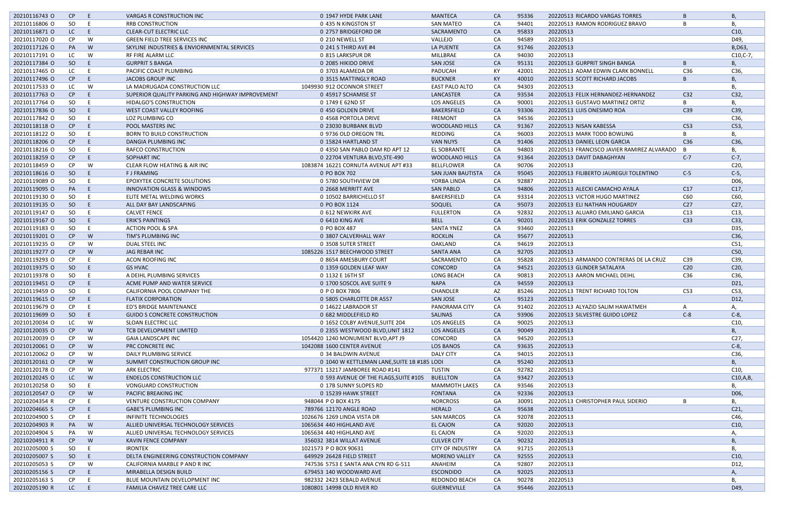| 20210116743 O | CP        | - E      | <b>VARGAS R CONSTRUCTION INC</b>                 | 0 1947 HYDE PARK LANE                       | MANTECA                 | CA        | 95336 | 20220513 RICARDO VARGAS TORRES             |                 | $\overline{B}$  |
|---------------|-----------|----------|--------------------------------------------------|---------------------------------------------|-------------------------|-----------|-------|--------------------------------------------|-----------------|-----------------|
| 20210116806 O | SO        | E        | <b>RRB CONSTRUCTION</b>                          | 0 435 N KINGSTON ST                         | <b>SAN MATEO</b>        | CA        | 94401 | 20220513 RAMON RODRIGUEZ BRAVO             |                 | B               |
| 20210116871 0 | LC        | - E      | <b>CLEAR-CUT ELECTRIC LLC</b>                    | 0 2757 BRIDGEFORD DR                        | SACRAMENTO              | <b>CA</b> | 95833 | 20220513                                   |                 | C10,            |
| 20210117020 O | <b>CP</b> | W        | <b>GREEN FIELD TREE SERVICES INC</b>             | 0 210 NEWELL ST                             | VALLEJO                 | CA        | 94589 | 20220513                                   |                 | D49,            |
| 20210117126 O | <b>PA</b> | <b>W</b> | SKYLINE INDUSTRIES & ENVIORNMENTAL SERVICES      | 0 241 S THIRD AVE #4                        | <b>LA PUENTE</b>        | CA        | 91746 | 20220513                                   |                 | B, D63,         |
|               |           |          |                                                  |                                             |                         |           |       |                                            |                 |                 |
| 20210117191 0 | LC        | W        | <b>RF FIRE ALARM LLC</b>                         | 0 815 LARKSPUR DR                           | MILLBRAE                | CA        | 94030 | 20220513                                   |                 | $C10, C-7$      |
| 20210117384 O | SO        | - E      | <b>GURPRIT S BANGA</b>                           | 0 2085 HIKIDO DRIVE                         | <b>SAN JOSE</b>         | CA        | 95131 | 20220513 GURPRIT SINGH BANGA               |                 | <b>B</b> ,      |
| 20210117465 O | LC        | - E      | PACIFIC COAST PLUMBING                           | 0 3703 ALAMEDA DR                           | PADUCAH                 | KY        | 42001 | 20220513 ADAM EDWIN CLARK BONNELL          | C <sub>36</sub> | C36,            |
| 20210117496 O | CP        | - E      | JACOBS GROUP INC                                 | 0 3515 MATTINGLY ROAD                       | <b>BUCKNER</b>          | KY        | 40010 | 20220513 SCOTT RICHARD JACOBS              |                 | B               |
| 20210117533 O | LC        | W        | LA MADRUGADA CONSTRUCTION LLC                    | 1049930 912 OCONNOR STREET                  | <b>EAST PALO ALTO</b>   | CA        | 94303 | 20220513                                   |                 |                 |
| 20210117763 O | CP        | -E       | SUPERIOR QUALITY PARKING AND HIGHWAY IMPROVEMENT | 0 45917 SCHAMISE ST                         | LANCASTER               | CA        | 93534 | 20220513 FELIX HERNANDEZ-HERNANDEZ         | C <sub>32</sub> | C32,            |
|               |           |          |                                                  |                                             |                         |           |       |                                            |                 |                 |
| 20210117764 O | SO        | E        | <b>HIDALGO'S CONSTRUCTION</b>                    | 0 1749 E 62ND ST                            | <b>LOS ANGELES</b>      | CA        | 90001 | 20220513 GUSTAVO MARTINEZ ORTIZ            |                 | В,              |
| 20210117836 O | SO        | - E      | WEST COAST VALLEY ROOFING                        | 0 450 GOLDEN DRIVE                          | BAKERSFIELD             | CA        | 93306 | 20220513 LUIS ONESIMO ROA                  | C <sub>39</sub> | C39,            |
| 20210117842 O | SO        | - E      | LOZ PLUMBING CO                                  | 0 4568 PORTOLA DRIVE                        | <b>FREMONT</b>          | CA        | 94536 | 20220513                                   |                 | C36,            |
| 20210118118 O | CP        | - F      | POOL MASTERS INC                                 | 0 23030 BURBANK BLVD                        | <b>WOODLAND HILLS</b>   | CA        | 91367 | 20220513 NISAN KABESSA                     | C53             | C53,            |
| 20210118122 0 | SO        | - E      | <b>BORN TO BUILD CONSTRUCTION</b>                | 0 9736 OLD OREGON TRL                       | REDDING                 | CA        | 96003 | 20220513 MARK TODD BOWLING                 |                 | В,              |
| 20210118206 O | CP        | -F       | DANGIA PLUMBING INC                              | 0 15824 HARTLAND ST                         | <b>VAN NUYS</b>         | CA        | 91406 | 20220513 DANIEL LEON GARCIA                | C36             | C36,            |
| 20210118216 O | SO        | E        | <b>RAFCO CONSTRUCTION</b>                        | 0 4350 SAN PABLO DAM RD APT 12              | <b>EL SOBRANTE</b>      | CA        | 94803 | 20220513 FRANCISCO JAVIER RAMIREZ ALVARADO |                 | В,              |
|               |           |          |                                                  |                                             |                         |           |       |                                            |                 |                 |
| 20210118259 O | CP        | E        | SOPHART INC                                      | 0 22704 VENTURA BLVD.STE-490                | <b>WOODLAND HILLS</b>   | CA        | 91364 | 20220513 DAVIT DABAGHYAN                   | $C-7$           | $C-7,$          |
| 20210118459 O | <b>CP</b> | W        | CLEAR FLOW HEATING & AIR INC                     | 1083874 16221 CORNUTA AVENUE APT #33        | <b>BELLFLOWER</b>       | CA        | 90706 | 20220513                                   |                 | C20,            |
| 20210118616 O | SO        | - E      | <b>F J FRAMING</b>                               | 0 PO BOX 702                                | SAN JUAN BAUTISTA       | CA        | 95045 | 20220513 FILIBERTO JAUREGUI TOLENTINO      | $C-5$           | $C-5$ ,         |
| 20210119089 O | SO        | E        | <b>EPOXYTEK CONCRETE SOLUTIONS</b>               | 0 5780 SOUTHVIEW DR                         | YORBA LINDA             | CA        | 92887 | 20220513                                   |                 | D06,            |
| 20210119095 O | PA        | - E      | <b>INNOVATION GLASS &amp; WINDOWS</b>            | 0 2668 MERRITT AVE                          | <b>SAN PABLO</b>        | CA        | 94806 | 20220513 ALECXI CAMACHO AYALA              | C17             | C17,            |
| 20210119130 O | SO        | E        | ELITE METAL WELDING WORKS                        | 0 10502 BARRICHELLO ST                      | BAKERSFIELD             | CA        | 93314 | 20220513 VICTOR HUGO MARTINEZ              | C60             | C60,            |
|               |           |          |                                                  |                                             |                         |           |       |                                            | C <sub>27</sub> |                 |
| 20210119135 O | SO        | - E      | ALL DAY BAY LANDSCAPING                          | 0 PO BOX 1124                               | SOQUEL                  | CA        | 95073 | 20220513 ELI NATHAN HOUGARDY               |                 | C27,            |
| 20210119147 O | SO        | E        | <b>CALVET FENCE</b>                              | 0 612 NEWKIRK AVE                           | <b>FULLERTON</b>        | CA        | 92832 | 20220513 ALUARO EMILIANO GARCIA            | C13             | C13,            |
| 20210119167 O | SO        | - E      | <b>ERIK'S PAINTINGS</b>                          | 0 6410 KING AVE                             | <b>BELL</b>             | CA        | 90201 | 20220513 ERIK GONZALEZ TORRES              | C <sub>33</sub> | C33,            |
| 20210119183 0 | SO.       | - E      | <b>ACTION POOL &amp; SPA</b>                     | 0 PO BOX 487                                | <b>SANTA YNEZ</b>       | CA        | 93460 | 20220513                                   |                 | D35,            |
| 20210119201 O | CP        | W        | TIM'S PLUMBING INC                               | 0 3807 CALVERHALL WAY                       | <b>ROCKLIN</b>          | CA        | 95677 | 20220513                                   |                 | C36,            |
| 20210119235 O | <b>CP</b> | W        | DUAL STEEL INC                                   | 0 3508 SUTER STREET                         | <b>OAKLAND</b>          | CA        | 94619 | 20220513                                   |                 | C51,            |
| 20210119277 O | CP        | W        | JAG REBAR INC                                    | 1085226 1517 BEECHWOOD STREET               | <b>SANTA ANA</b>        | CA        | 92705 | 20220513                                   |                 | C50,            |
|               |           |          |                                                  |                                             |                         |           |       |                                            |                 |                 |
| 20210119293 O | <b>CP</b> | -F       | <b>ACON ROOFING INC</b>                          | 0 8654 AMESBURY COURT                       | SACRAMENTO              | CA        | 95828 | 20220513 ARMANDO CONTRERAS DE LA CRUZ      | C39             | C39,            |
| 20210119375 O | SO        | E        | <b>GS HVAC</b>                                   | 0 1359 GOLDEN LEAF WAY                      | CONCORD                 | CA        | 94521 | 20220513 GLINDER SATALAYA                  | C <sub>20</sub> | C <sub>20</sub> |
| 20210119378 O | SO        |          | A DEIHL PLUMBING SERVICES                        | 0 1132 E 16TH ST                            | <b>LONG BEACH</b>       | CA        | 90813 | 20220513 AARON MICHAEL DEIHL               | C36             | C36,            |
| 20210119451 O | CP        | - F      | ACME PUMP AND WATER SERVICE                      | 0 1700 SOSCOL AVE SUITE 9                   | <b>NAPA</b>             | <b>CA</b> | 94559 | 20220513                                   |                 | D21,            |
| 20210119459 O | SO        | E        | CALIFORNIA POOL COMPANY THE                      | 0 P O BOX 7806                              | CHANDLER                | AZ        | 85246 | 20220513 TRENT RICHARD TOLTON              | C53             | C53,            |
| 20210119615 O | CP        | E        | <b>FLATIX CORPORATION</b>                        | 0 5805 CHARLOTTE DR A557                    | <b>SAN JOSE</b>         | CA        | 95123 | 20220513                                   |                 | D12,            |
|               | CP.       |          |                                                  | 0 14622 LABRADOR ST                         | PANORAMA CITY           |           | 91402 |                                            |                 |                 |
| 20210119679 O |           | E        | ED'S BRIDGE MAINTENANCE                          |                                             |                         | CA        |       | 20220513 ALYAZID SALIM HAWATMEH            | A               | $\mathsf{A}$    |
| 20210119699 O | SO        | - E      | <b>GUIDO S CONCRETE CONSTRUCTION</b>             | 0 682 MIDDLEFIELD RD                        | <b>SALINAS</b>          | CA        | 93906 | 20220513 SILVESTRE GUIDO LOPEZ             | $C-8$           | $C-8$           |
| 20210120034 O | LC        | W        | SLOAN ELECTRIC LLC                               | 0 1652 COLBY AVENUE, SUITE 204              | <b>LOS ANGELES</b>      | CA        | 90025 | 20220513                                   |                 | C10,            |
| 20210120035 O | CP        | W        | TCB DEVELOPMENT LIMITED                          | 0 2355 WESTWOOD BLVD, UNIT 1812             | <b>LOS ANGELES</b>      | CA        | 90049 | 20220513                                   |                 | Β,              |
| 20210120039 O | <b>CP</b> | W        | <b>GAIA LANDSCAPE INC</b>                        | 1054420 1240 MONUMENT BLVD, APT J9          | CONCORD                 | CA        | 94520 | 20220513                                   |                 | C <sub>27</sub> |
| 20210120061 O | CP        | W        | PRC CONCRETE INC                                 | 1042088 1600 CENTER AVENUE                  | <b>LOS BANOS</b>        | CA        | 93635 | 20220513                                   |                 | $C-8$ ,         |
| 20210120062 O | <b>CP</b> | W        | DAILY PLUMBING SERVICE                           | 0 34 BALDWIN AVENUE                         | <b>DALY CITY</b>        | CA        | 94015 | 20220513                                   |                 | C36,            |
|               |           |          | SUMMIT CONSTRUCTION GROUP INC                    |                                             |                         |           |       |                                            |                 |                 |
| 20210120161 O | CP        | W        |                                                  | 0 1040 W KETTLEMAN LANE, SUITE 1B #185 LODI |                         | CA        | 95240 | 20220513                                   |                 | B               |
| 20210120178 O | <b>CP</b> | W        | <b>ARK ELECTRIC</b>                              | 977371 13217 JAMBOREE ROAD #141             | TUSTIN                  | CA        | 92782 | 20220513                                   |                 | C10,            |
| 20210120245 O | LC        | W        | <b>ENDELOS CONSTRUCTION LLC</b>                  | 0 593 AVENUE OF THE FLAGS, SUITE #105       | <b>BUELLTON</b>         | CA        | 93427 | 20220513                                   |                 | C10, A, B,      |
| 20210120258 O | SO        | E        | VONGUARD CONSTRUCTION                            | 0 17B SUNNY SLOPES RD                       | <b>MAMMOTH LAKES</b>    | CA        | 93546 | 20220513                                   |                 | В,              |
| 20210120547 O | CP        | W        | PACIFIC BREAKING INC                             | 0 15239 HAWK STREET                         | FONTANA                 | CA        | 92336 | 20220513                                   |                 | D06,            |
| 20210204354 R | CP.       | E        | VENTURE CONSTRUCTION COMPANY                     | 948044 PO BOX 4175                          | <b>NORCROSS</b>         | GA        | 30091 | 20220513 CHRISTOPHER PAUL SIDERIO          |                 | В,              |
| 20210204665 S | CP        | E        | <b>GABE'S PLUMBING INC</b>                       | 789766 12170 ANGLE ROAD                     | HERALD                  | CA        | 95638 | 20220513                                   |                 | C <sub>21</sub> |
|               |           |          |                                                  |                                             |                         |           |       |                                            |                 |                 |
| 20210204900 S | <b>CP</b> | - E      | INFINITE TECHNOLOGIES                            | 1026676 1269 LINDA VISTA DR                 | <b>SAN MARCOS</b>       | CA        | 92078 | 20220513                                   |                 | C46,            |
| 20210204903 R | <b>PA</b> | <b>W</b> | ALLIED UNIVERSAL TECHNOLOGY SERVICES             | 1065634 440 HIGHLAND AVE                    | <b>EL CAJON</b>         | CA        | 92020 | 20220513                                   |                 | C10,            |
| 20210204904 S | PA        | W        | ALLIED UNIVERSAL TECHNOLOGY SERVICES             | 1065634 440 HIGHLAND AVE                    | <b>EL CAJON</b>         | CA        | 92020 | 20220513                                   |                 | Α,              |
| 20210204911 R | CP        | W        | <b>KAVIN FENCE COMPANY</b>                       | 356032 3814 WILLAT AVENUE                   | <b>CULVER CITY</b>      | CA        | 90232 | 20220513                                   |                 | B               |
| 20210205000 S | SO        | E        | <b>IRONTEK</b>                                   | 1021573 PO BOX 90631                        | <b>CITY OF INDUSTRY</b> | CA        | 91715 | 20220513                                   |                 | B               |
| 20210205007 S | SO        | E        | DELTA ENGINEERING CONSTRUCTION COMPANY           | 649929 26428 FIELD STREET                   | <b>MORENO VALLEY</b>    | CA        | 92555 | 20220513                                   |                 | C10,            |
|               |           |          |                                                  |                                             |                         |           |       |                                            |                 |                 |
| 20210205053 S | CP        | W        | CALIFORNIA MARBLE P AND R INC                    | 747536 5753 E SANTA ANA CYN RD G-511        | ANAHEIM                 | CA        | 92807 | 20220513                                   |                 | D12,            |
| 20210205156 S | CP        | -E       | MIRABELLA DESIGN BUILD                           | 679453 140 WOODWARD AVE                     | ESCONDIDO               | CA        | 92025 | 20220513                                   |                 | A,              |
| 20210205163 S | CP.       | - E      | BLUE MOUNTAIN DEVELOPMENT INC                    | 982332 2423 SEBALD AVENUE                   | REDONDO BEACH           | CA        | 90278 | 20220513                                   |                 | В,              |
| 20210205190 R | $LC$ $E$  |          | FAMILIA CHAVEZ TREE CARE LLC                     | 1080801 14998 OLD RIVER RD                  | <b>GUERNEVILLE</b>      | CA        | 95446 | 20220513                                   |                 | D49,            |